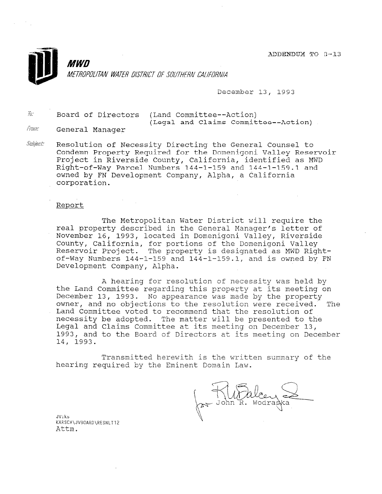ADDENDUM TO 3-13



December 13, 1993

 $\bar{h}$ : Board of Directors (Land Committee--Action) From: General Manager (Legal and Claims Committee--Action)

Subject: Resolution of Necessity Directing the General Counsel to Condemn Property Required for the Domenigoni Valley Reservoir Project in Riverside County, California, identified as MWD Right-of-Way Parcel Numbers 144-I-159 and 144-1-159.1 and owned by FN Development Company, Alpha, a California corporation.

## Report

The Metropolitan Water District will require the real property described in the General Manager's letter of November 16, 1993, located in Domenigoni Valley, Riverside County, California, for portions of the Domenigoni Valley Reservoir Project. The property is designated as MWD Rightof-Way Numbers 144-1-159 and 144-1-159.1, and is owned by FN Development Company, Alpha.

A hearing for resolution of necessity was held by the Land Committee regarding this property at its meeting on December 13, 1993. No appearance was made by the property owner, and no objections to the resolution were received. The Land Committee voted to recommend that the resolution of necessity be adopted. The matter will be presented to the Legal and Claims Committee at its meeting on December 13, 1993, and to the Board of Directors at its meeting on December 14, 1993.

Transmitted herewith is the written summary of the hearing required by the Eminent Domain Law.

JV:ks JV.RS<br>KARSCH\JVBOARD\<br>I